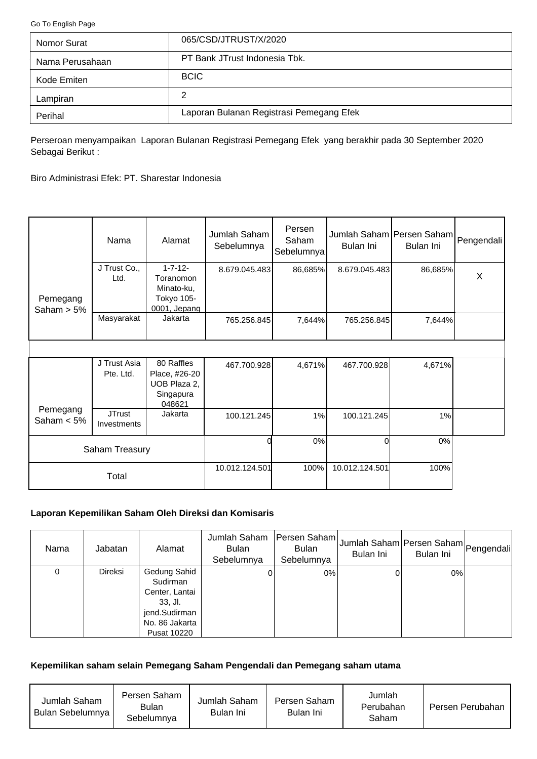<span id="page-0-0"></span>[Go To English Page](#page-2-0)

| Nomor Surat     | 065/CSD/JTRUST/X/2020                    |
|-----------------|------------------------------------------|
| Nama Perusahaan | PT Bank JTrust Indonesia Tbk.            |
| Kode Emiten     | <b>BCIC</b>                              |
| Lampiran        | 2                                        |
| Perihal         | Laporan Bulanan Registrasi Pemegang Efek |

Perseroan menyampaikan Laporan Bulanan Registrasi Pemegang Efek yang berakhir pada 30 September 2020 Sebagai Berikut :

Biro Administrasi Efek: PT. Sharestar Indonesia

|                           | Nama                         | Alamat                                                                  | Jumlah Saham<br>Sebelumnya | Persen<br>Saham<br>Sebelumnya | Jumlah Saham Persen Saham Pengendali<br>Bulan Ini | Bulan Ini |   |
|---------------------------|------------------------------|-------------------------------------------------------------------------|----------------------------|-------------------------------|---------------------------------------------------|-----------|---|
| Pemegang<br>Saham $> 5\%$ | J Trust Co.,<br>Ltd.         | $1 - 7 - 12 -$<br>Toranomon<br>Minato-ku,<br>Tokyo 105-<br>0001, Jepang | 8.679.045.483              | 86,685%                       | 8.679.045.483                                     | 86,685%   | X |
|                           | Masyarakat                   | Jakarta                                                                 | 765.256.845                | 7,644%                        | 765.256.845                                       | 7,644%    |   |
|                           |                              |                                                                         |                            |                               |                                                   |           |   |
|                           | J Trust Asia<br>Pte. Ltd.    | 80 Raffles<br>Place, #26-20<br>UOB Plaza 2,<br>Singapura<br>048621      | 467.700.928                | 4,671%                        | 467.700.928                                       | 4,671%    |   |
| Pemegang<br>Saham $< 5\%$ | <b>JTrust</b><br>Investments | Jakarta                                                                 | 100.121.245                | 1%                            | 100.121.245                                       | 1%        |   |
| Saham Treasury            |                              |                                                                         | 0%                         | Οl                            | 0%                                                |           |   |
|                           | Total                        |                                                                         | 10.012.124.501             | 100%                          | 10.012.124.501                                    | 100%      |   |

# **Laporan Kepemilikan Saham Oleh Direksi dan Komisaris**

| Nama | Jabatan        | Alamat                                                                                                  | Jumlah Saham<br><b>Bulan</b><br>Sebelumnya | Persen Saham<br><b>Bulan</b><br>Sebelumnya | Jumlah Saham Persen Saham Pengendali<br>Bulan Ini | Bulan Ini |  |
|------|----------------|---------------------------------------------------------------------------------------------------------|--------------------------------------------|--------------------------------------------|---------------------------------------------------|-----------|--|
| 0    | <b>Direksi</b> | Gedung Sahid<br>Sudirman<br>Center, Lantai<br>33, Jl.<br>jend.Sudirman<br>No. 86 Jakarta<br>Pusat 10220 |                                            | $0\%$                                      |                                                   | $0\%$     |  |

### **Kepemilikan saham selain Pemegang Saham Pengendali dan Pemegang saham utama**

| Jumlah Saham<br>Bulan Sebelumnya | Persen Saham<br>Bulan<br>Sebelumnya | Jumlah Saham<br>Bulan Ini | Persen Saham<br>Bulan Ini | Jumlah<br>Perubahan<br>Saham | Persen Perubahan |
|----------------------------------|-------------------------------------|---------------------------|---------------------------|------------------------------|------------------|
|----------------------------------|-------------------------------------|---------------------------|---------------------------|------------------------------|------------------|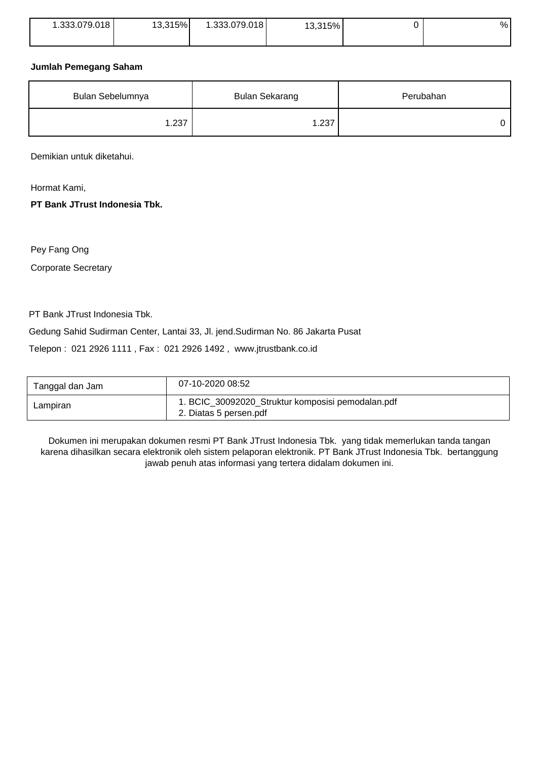| 1.333.079.018 | 13,315% | ا 333.079.018. | 13,315% | % |
|---------------|---------|----------------|---------|---|
|               |         |                |         |   |

### **Jumlah Pemegang Saham**

| Bulan Sebelumnya | Bulan Sekarang | Perubahan |  |
|------------------|----------------|-----------|--|
| 1.237            | 1.237          |           |  |

Demikian untuk diketahui.

Hormat Kami,

**PT Bank JTrust Indonesia Tbk.**

Pey Fang Ong

Corporate Secretary

PT Bank JTrust Indonesia Tbk.

Gedung Sahid Sudirman Center, Lantai 33, Jl. jend.Sudirman No. 86 Jakarta Pusat

Telepon : 021 2926 1111 , Fax : 021 2926 1492 , www.jtrustbank.co.id

| Tanggal dan Jam | 07-10-2020 08:52                                                            |
|-----------------|-----------------------------------------------------------------------------|
| Lampiran        | 1. BCIC_30092020_Struktur komposisi pemodalan.pdf<br>2. Diatas 5 persen.pdf |

Dokumen ini merupakan dokumen resmi PT Bank JTrust Indonesia Tbk. yang tidak memerlukan tanda tangan karena dihasilkan secara elektronik oleh sistem pelaporan elektronik. PT Bank JTrust Indonesia Tbk. bertanggung jawab penuh atas informasi yang tertera didalam dokumen ini.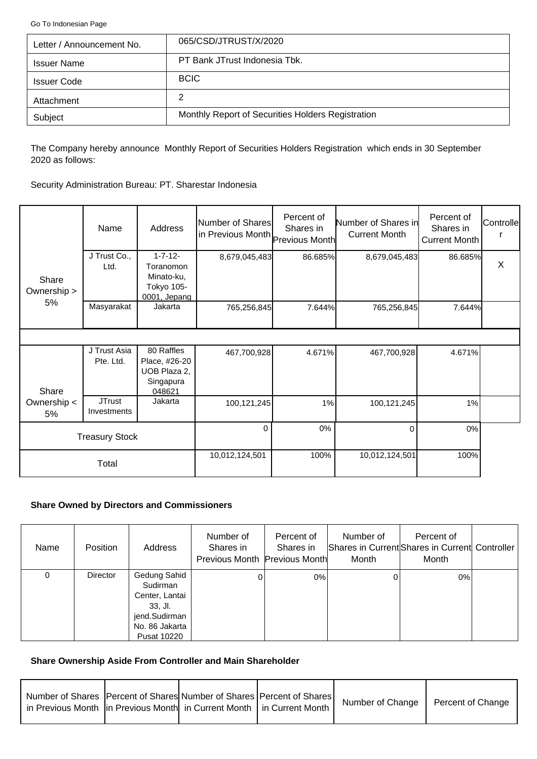<span id="page-2-0"></span>[Go To Indonesian Page](#page-0-0)

| Letter / Announcement No. | 065/CSD/JTRUST/X/2020                             |
|---------------------------|---------------------------------------------------|
| <b>Issuer Name</b>        | PT Bank JTrust Indonesia Tbk.                     |
| <b>Issuer Code</b>        | <b>BCIC</b>                                       |
| Attachment                | 2                                                 |
| Subject                   | Monthly Report of Securities Holders Registration |

The Company hereby announce Monthly Report of Securities Holders Registration which ends in 30 September 2020 as follows:

Security Administration Bureau: PT. Sharestar Indonesia

|                      | Name                         | Address                                                                 | Number of Shares<br>in Previous Month Previous Month | Percent of<br>Shares in | Number of Shares in<br><b>Current Month</b> | Percent of<br>Shares in<br>Current Month | Controlle |
|----------------------|------------------------------|-------------------------------------------------------------------------|------------------------------------------------------|-------------------------|---------------------------------------------|------------------------------------------|-----------|
| Share<br>Ownership > | J Trust Co.,<br>Ltd.         | $1 - 7 - 12 -$<br>Toranomon<br>Minato-ku,<br>Tokyo 105-<br>0001, Jepang | 8,679,045,483                                        | 86.685%                 | 8,679,045,483                               | 86.685%                                  | $\sf X$   |
| 5%                   | Masyarakat                   | Jakarta                                                                 | 765,256,845                                          | 7.644%                  | 765,256,845                                 | 7.644%                                   |           |
|                      |                              |                                                                         |                                                      |                         |                                             |                                          |           |
| Share                | J Trust Asia<br>Pte. Ltd.    | 80 Raffles<br>Place, #26-20<br>UOB Plaza 2,<br>Singapura<br>048621      | 467,700,928                                          | 4.671%                  | 467,700,928                                 | 4.671%                                   |           |
| Ownership <<br>5%    | <b>JTrust</b><br>Investments | Jakarta                                                                 | 100,121,245                                          | 1%                      | 100,121,245                                 | 1%                                       |           |
|                      | <b>Treasury Stock</b>        |                                                                         | $\Omega$                                             | 0%                      | $\Omega$                                    | $0\%$                                    |           |
|                      | Total                        |                                                                         | 10,012,124,501                                       | 100%                    | 10,012,124,501                              | 100%                                     |           |

# **Share Owned by Directors and Commissioners**

| Name | <b>Position</b> | Address                                                                                                          | Number of<br>Shares in<br>Previous Month Previous Month | Percent of<br>Shares in | Number of<br>Month | Percent of<br>Shares in Current Shares in Current Controller<br>Month |  |
|------|-----------------|------------------------------------------------------------------------------------------------------------------|---------------------------------------------------------|-------------------------|--------------------|-----------------------------------------------------------------------|--|
| 0    | <b>Director</b> | Gedung Sahid<br>Sudirman<br>Center, Lantai<br>$33.$ Jl.<br>jend.Sudirman<br>No. 86 Jakarta<br><b>Pusat 10220</b> |                                                         | 0%                      |                    | 0%                                                                    |  |

# **Share Ownership Aside From Controller and Main Shareholder**

| Number of Shares   Percent of Shares  Number of Shares   Percent of Shares  <br>in Previous Month  in Previous Month  in Current Month   in Current Month |  | Number of Change | Percent of Change |
|-----------------------------------------------------------------------------------------------------------------------------------------------------------|--|------------------|-------------------|
|                                                                                                                                                           |  |                  |                   |